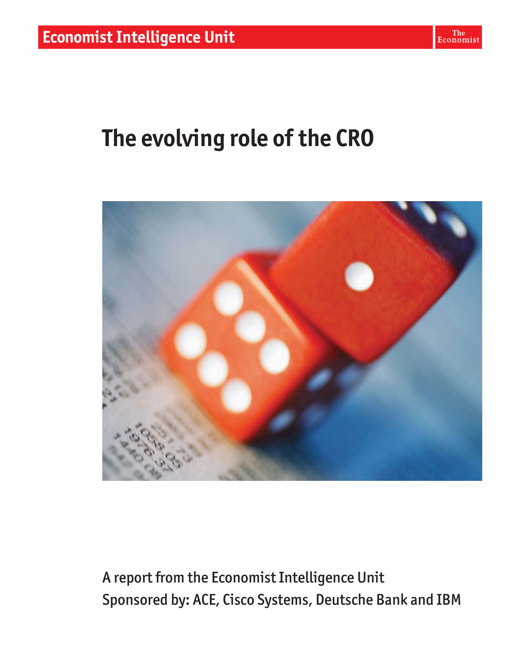# **The evolving role of the CRO**



A report from the Economist Intelligence Unit Sponsored by: ACE, Cisco Systems, Deutsche Bank and IBM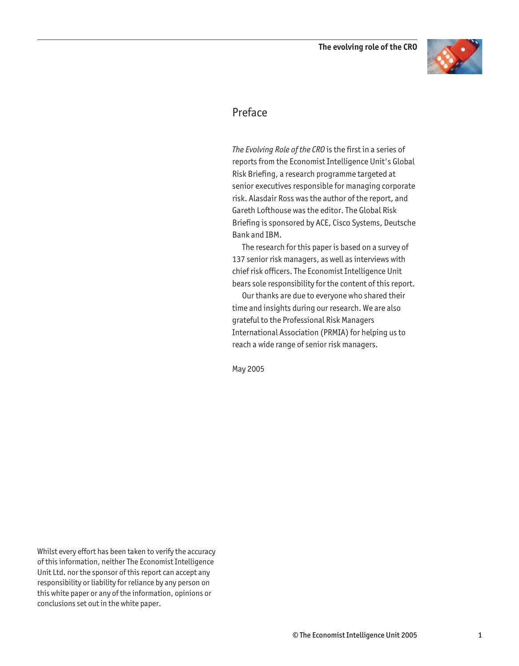

#### Preface

*The Evolving Role of the CRO* is the first in a series of reports from the Economist Intelligence Unit's Global Risk Briefing, a research programme targeted at senior executives responsible for managing corporate risk. Alasdair Ross was the author of the report, and Gareth Lofthouse was the editor. The Global Risk Briefing is sponsored by ACE, Cisco Systems, Deutsche Bank and IBM.

The research for this paper is based on a survey of 137 senior risk managers, as well as interviews with chief risk officers. The Economist Intelligence Unit bears sole responsibility for the content of this report.

Our thanks are due to everyone who shared their time and insights during our research. We are also grateful to the Professional Risk Managers International Association (PRMIA) for helping us to reach a wide range of senior risk managers.

May 2005

Whilst every effort has been taken to verify the accuracy of this information, neither The Economist Intelligence Unit Ltd. nor the sponsor of this report can accept any responsibility or liability for reliance by any person on this white paper or any of the information, opinions or conclusions set out in the white paper.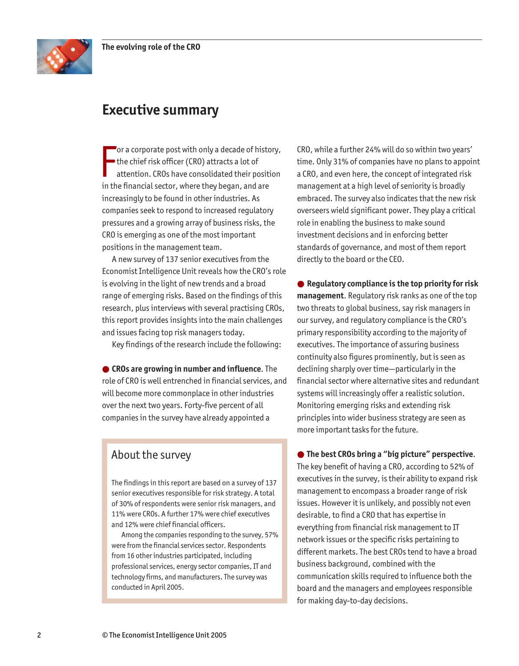

### **Executive summary**

F or a corporate post with only a decade of history, the chief risk officer (CRO) attracts a lot of attention. CROs have consolidated their position in the financial sector, where they began, and are increasingly to be found in other industries. As companies seek to respond to increased regulatory pressures and a growing array of business risks, the CRO is emerging as one of the most important positions in the management team.

A new survey of 137 senior executives from the Economist Intelligence Unit reveals how the CRO's role is evolving in the light of new trends and a broad range of emerging risks. Based on the findings of this research, plus interviews with several practising CROs, this report provides insights into the main challenges and issues facing top risk managers today.

Key findings of the research include the following:

● **CROs are growing in number and influence**. The role of CRO is well entrenched in financial services, and will become more commonplace in other industries over the next two years. Forty-five percent of all companies in the survey have already appointed a

#### About the survey

The findings in this report are based on a survey of 137 senior executives responsible for risk strategy. A total of 30% of respondents were senior risk managers, and 11% were CROs. A further 17% were chief executives and 12% were chief financial officers.

Among the companies responding to the survey, 57% were from the financial services sector. Respondents from 16 other industries participated, including professional services, energy sector companies, IT and technology firms, and manufacturers. The survey was conducted in April 2005.

CRO, while a further 24% will do so within two years' time. Only 31% of companies have no plans to appoint a CRO, and even here, the concept of integrated risk management at a high level of seniority is broadly embraced. The survey also indicates that the new risk overseers wield significant power. They play a critical role in enabling the business to make sound investment decisions and in enforcing better standards of governance, and most of them report directly to the board or the CEO.

● **Regulatory compliance is the top priority for risk management**. Regulatory risk ranks as one of the top two threats to global business, say risk managers in our survey, and regulatory compliance is the CRO's primary responsibility according to the majority of executives. The importance of assuring business continuity also figures prominently, but is seen as declining sharply over time—particularly in the financial sector where alternative sites and redundant systems will increasingly offer a realistic solution. Monitoring emerging risks and extending risk principles into wider business strategy are seen as more important tasks for the future.

● **The best CROs bring a "big picture" perspective**. The key benefit of having a CRO, according to 52% of executives in the survey, is their ability to expand risk management to encompass a broader range of risk issues. However it is unlikely, and possibly not even desirable, to find a CRO that has expertise in everything from financial risk management to IT network issues or the specific risks pertaining to different markets. The best CROs tend to have a broad business background, combined with the communication skills required to influence both the board and the managers and employees responsible for making day-to-day decisions.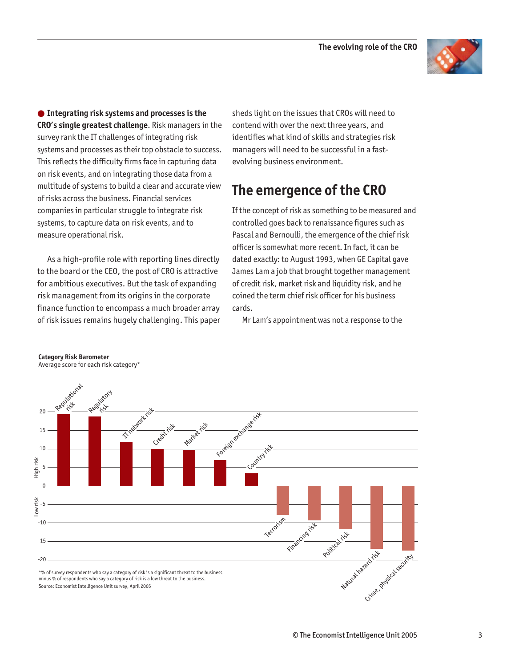

● **Integrating risk systems and processes is the CRO's single greatest challenge**. Risk managers in the survey rank the IT challenges of integrating risk systems and processes as their top obstacle to success. This reflects the difficulty firms face in capturing data on risk events, and on integrating those data from a multitude of systems to build a clear and accurate view of risks across the business. Financial services companies in particular struggle to integrate risk systems, to capture data on risk events, and to measure operational risk.

As a high-profile role with reporting lines directly to the board or the CEO, the post of CRO is attractive for ambitious executives. But the task of expanding risk management from its origins in the corporate finance function to encompass a much broader array of risk issues remains hugely challenging. This paper sheds light on the issues that CROs will need to contend with over the next three years, and identifies what kind of skills and strategies risk managers will need to be successful in a fastevolving business environment.

## **The emergence of the CRO**

If the concept of risk as something to be measured and controlled goes back to renaissance figures such as Pascal and Bernoulli, the emergence of the chief risk officer is somewhat more recent. In fact, it can be dated exactly: to August 1993, when GE Capital gave James Lam a job that brought together management of credit risk, market risk and liquidity risk, and he coined the term chief risk officer for his business cards.

Mr Lam's appointment was not a response to the



**Category Risk Barometer**  Average score for each risk category\*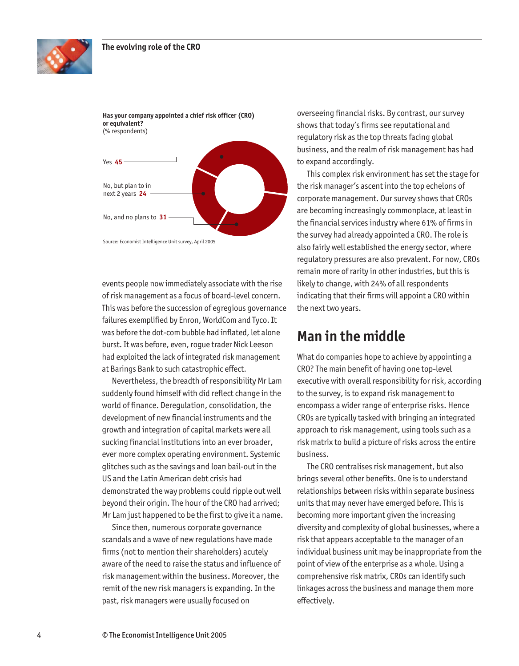



events people now immediately associate with the rise of risk management as a focus of board-level concern. This was before the succession of egregious governance failures exemplified by Enron, WorldCom and Tyco. It was before the dot-com bubble had inflated, let alone burst. It was before, even, rogue trader Nick Leeson had exploited the lack of integrated risk management at Barings Bank to such catastrophic effect.

Nevertheless, the breadth of responsibility Mr Lam suddenly found himself with did reflect change in the world of finance. Deregulation, consolidation, the development of new financial instruments and the growth and integration of capital markets were all sucking financial institutions into an ever broader, ever more complex operating environment. Systemic glitches such as the savings and loan bail-out in the US and the Latin American debt crisis had demonstrated the way problems could ripple out well beyond their origin. The hour of the CRO had arrived; Mr Lam just happened to be the first to give it a name.

Since then, numerous corporate governance scandals and a wave of new regulations have made firms (not to mention their shareholders) acutely aware of the need to raise the status and influence of risk management within the business. Moreover, the remit of the new risk managers is expanding. In the past, risk managers were usually focused on

overseeing financial risks. By contrast, our survey shows that today's firms see reputational and regulatory risk as the top threats facing global business, and the realm of risk management has had to expand accordingly.

This complex risk environment has set the stage for the risk manager's ascent into the top echelons of corporate management. Our survey shows that CROs are becoming increasingly commonplace, at least in the financial services industry where 61% of firms in the survey had already appointed a CRO. The role is also fairly well established the energy sector, where regulatory pressures are also prevalent. For now, CROs remain more of rarity in other industries, but this is likely to change, with 24% of all respondents indicating that their firms will appoint a CRO within the next two years.

#### **Man in the middle**

What do companies hope to achieve by appointing a CRO? The main benefit of having one top-level executive with overall responsibility for risk, according to the survey, is to expand risk management to encompass a wider range of enterprise risks. Hence CROs are typically tasked with bringing an integrated approach to risk management, using tools such as a risk matrix to build a picture of risks across the entire business.

The CRO centralises risk management, but also brings several other benefits. One is to understand relationships between risks within separate business units that may never have emerged before. This is becoming more important given the increasing diversity and complexity of global businesses, where a risk that appears acceptable to the manager of an individual business unit may be inappropriate from the point of view of the enterprise as a whole. Using a comprehensive risk matrix, CROs can identify such linkages across the business and manage them more effectively.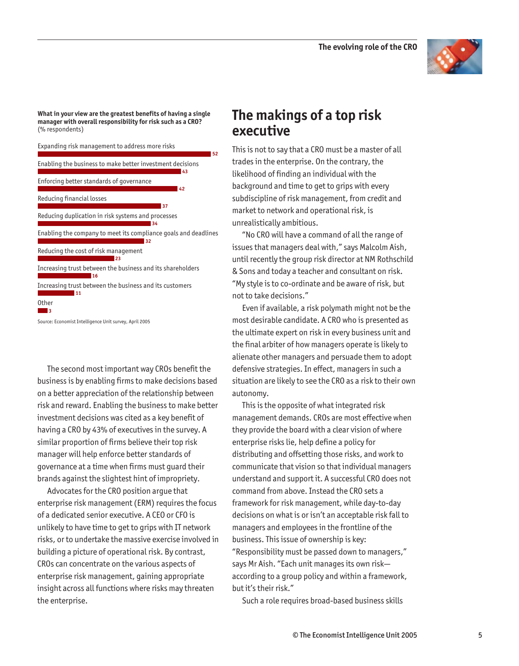

**What in your view are the greatest benefits of having a single manager with overall responsibility for risk such as a CRO?** (% respondents)



The second most important way CROs benefit the business is by enabling firms to make decisions based on a better appreciation of the relationship between risk and reward. Enabling the business to make better investment decisions was cited as a key benefit of having a CRO by 43% of executives in the survey. A similar proportion of firms believe their top risk manager will help enforce better standards of governance at a time when firms must guard their brands against the slightest hint of impropriety.

Advocates for the CRO position argue that enterprise risk management (ERM) requires the focus of a dedicated senior executive. A CEO or CFO is unlikely to have time to get to grips with IT network risks, or to undertake the massive exercise involved in building a picture of operational risk. By contrast, CROs can concentrate on the various aspects of enterprise risk management, gaining appropriate insight across all functions where risks may threaten the enterprise.

#### **The makings of a top risk executive**

This is not to say that a CRO must be a master of all trades in the enterprise. On the contrary, the likelihood of finding an individual with the background and time to get to grips with every subdiscipline of risk management, from credit and market to network and operational risk, is unrealistically ambitious.

"No CRO will have a command of all the range of issues that managers deal with," says Malcolm Aish, until recently the group risk director at NM Rothschild & Sons and today a teacher and consultant on risk. "My style is to co-ordinate and be aware of risk, but not to take decisions."

Even if available, a risk polymath might not be the most desirable candidate. A CRO who is presented as the ultimate expert on risk in every business unit and the final arbiter of how managers operate is likely to alienate other managers and persuade them to adopt defensive strategies. In effect, managers in such a situation are likely to see the CRO as a risk to their own autonomy.

This is the opposite of what integrated risk management demands. CROs are most effective when they provide the board with a clear vision of where enterprise risks lie, help define a policy for distributing and offsetting those risks, and work to communicate that vision so that individual managers understand and support it. A successful CRO does not command from above. Instead the CRO sets a framework for risk management, while day-to-day decisions on what is or isn't an acceptable risk fall to managers and employees in the frontline of the business. This issue of ownership is key: "Responsibility must be passed down to managers," says Mr Aish. "Each unit manages its own risk according to a group policy and within a framework, but it's their risk."

Such a role requires broad-based business skills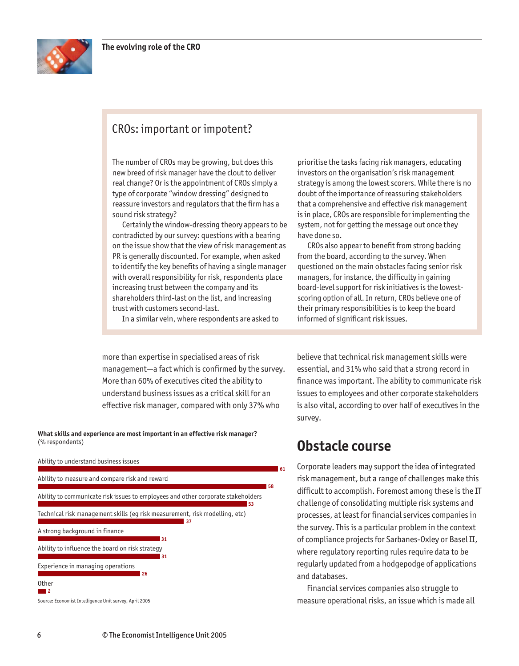

#### CROs: important or impotent?

The number of CROs may be growing, but does this new breed of risk manager have the clout to deliver real change? Or is the appointment of CROs simply a type of corporate "window dressing" designed to reassure investors and regulators that the firm has a sound risk strategy?

Certainly the window-dressing theory appears to be contradicted by our survey: questions with a bearing on the issue show that the view of risk management as PR is generally discounted. For example, when asked to identify the key benefits of having a single manager with overall responsibility for risk, respondents place increasing trust between the company and its shareholders third-last on the list, and increasing trust with customers second-last.

prioritise the tasks facing risk managers, educating investors on the organisation's risk management strategy is among the lowest scorers. While there is no doubt of the importance of reassuring stakeholders that a comprehensive and effective risk management is in place, CROs are responsible for implementing the system, not for getting the message out once they have done so.

CROs also appear to benefit from strong backing from the board, according to the survey. When questioned on the main obstacles facing senior risk managers, for instance, the difficulty in gaining board-level support for risk initiatives is the lowestscoring option of all. In return, CROs believe one of their primary responsibilities is to keep the board informed of significant risk issues.

In a similar vein, where respondents are asked to

more than expertise in specialised areas of risk management—a fact which is confirmed by the survey. More than 60% of executives cited the ability to understand business issues as a critical skill for an effective risk manager, compared with only 37% who

**What skills and experience are most important in an effective risk manager?** (% respondents)



believe that technical risk management skills were essential, and 31% who said that a strong record in finance was important. The ability to communicate risk issues to employees and other corporate stakeholders is also vital, according to over half of executives in the survey.

#### **Obstacle course**

Corporate leaders may support the idea of integrated risk management, but a range of challenges make this difficult to accomplish. Foremost among these is the IT challenge of consolidating multiple risk systems and processes, at least for financial services companies in the survey. This is a particular problem in the context of compliance projects for Sarbanes-Oxley or Basel II, where regulatory reporting rules require data to be regularly updated from a hodgepodge of applications and databases.

Financial services companies also struggle to measure operational risks, an issue which is made all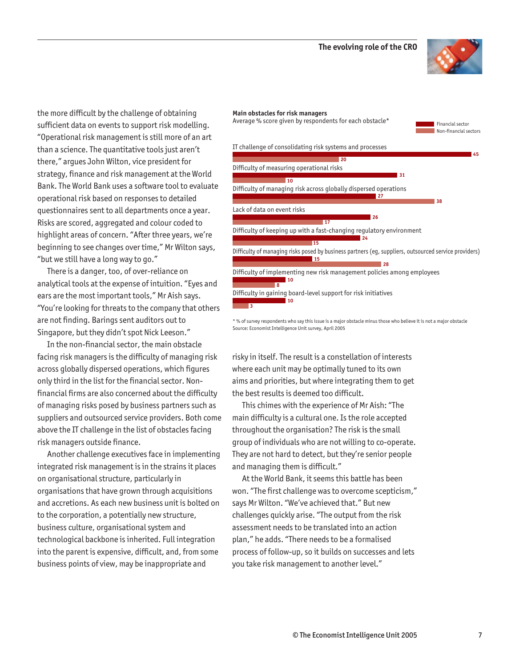

the more difficult by the challenge of obtaining sufficient data on events to support risk modelling. "Operational risk management is still more of an art than a science. The quantitative tools just aren't there," argues John Wilton, vice president for strategy, finance and risk management at the World Bank. The World Bank uses a software tool to evaluate operational risk based on responses to detailed questionnaires sent to all departments once a year. Risks are scored, aggregated and colour coded to highlight areas of concern. "After three years, we're beginning to see changes over time," Mr Wilton says, "but we still have a long way to go."

There is a danger, too, of over-reliance on analytical tools at the expense of intuition. "Eyes and ears are the most important tools," Mr Aish says. "You're looking for threats to the company that others are not finding. Barings sent auditors out to Singapore, but they didn't spot Nick Leeson."

In the non-financial sector, the main obstacle facing risk managers is the difficulty of managing risk across globally dispersed operations, which figures only third in the list for the financial sector. Nonfinancial firms are also concerned about the difficulty of managing risks posed by business partners such as suppliers and outsourced service providers. Both come above the IT challenge in the list of obstacles facing risk managers outside finance.

Another challenge executives face in implementing integrated risk management is in the strains it places on organisational structure, particularly in organisations that have grown through acquisitions and accretions. As each new business unit is bolted on to the corporation, a potentially new structure, business culture, organisational system and technological backbone is inherited. Full integration into the parent is expensive, difficult, and, from some business points of view, may be inappropriate and

#### **Main obstacles for risk managers**



\* % of survey respondents who say this issue is a major obstacle minus those who believe it is not a major obstacle Source: Economist Intelligence Unit survey, April 2005

risky in itself. The result is a constellation of interests where each unit may be optimally tuned to its own aims and priorities, but where integrating them to get the best results is deemed too difficult.

This chimes with the experience of Mr Aish: "The main difficulty is a cultural one. Is the role accepted throughout the organisation? The risk is the small group of individuals who are not willing to co-operate. They are not hard to detect, but they're senior people and managing them is difficult."

At the World Bank, it seems this battle has been won. "The first challenge was to overcome scepticism," says Mr Wilton. "We've achieved that." But new challenges quickly arise. "The output from the risk assessment needs to be translated into an action plan," he adds. "There needs to be a formalised process of follow-up, so it builds on successes and lets you take risk management to another level."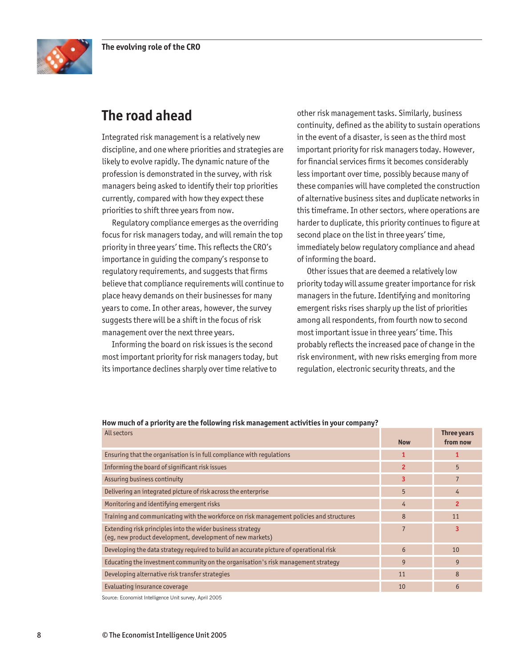

# **The road ahead**

Integrated risk management is a relatively new discipline, and one where priorities and strategies are likely to evolve rapidly. The dynamic nature of the profession is demonstrated in the survey, with risk managers being asked to identify their top priorities currently, compared with how they expect these priorities to shift three years from now.

Regulatory compliance emerges as the overriding focus for risk managers today, and will remain the top priority in three years' time. This reflects the CRO's importance in guiding the company's response to regulatory requirements, and suggests that firms believe that compliance requirements will continue to place heavy demands on their businesses for many years to come. In other areas, however, the survey suggests there will be a shift in the focus of risk management over the next three years.

Informing the board on risk issues is the second most important priority for risk managers today, but its importance declines sharply over time relative to

other risk management tasks. Similarly, business continuity, defined as the ability to sustain operations in the event of a disaster, is seen as the third most important priority for risk managers today. However, for financial services firms it becomes considerably less important over time, possibly because many of these companies will have completed the construction of alternative business sites and duplicate networks in this timeframe. In other sectors, where operations are harder to duplicate, this priority continues to figure at second place on the list in three years' time, immediately below regulatory compliance and ahead of informing the board.

Other issues that are deemed a relatively low priority today will assume greater importance for risk managers in the future. Identifying and monitoring emergent risks rises sharply up the list of priorities among all respondents, from fourth now to second most important issue in three years' time. This probably reflects the increased pace of change in the risk environment, with new risks emerging from more regulation, electronic security threats, and the

| How much of a priority are the following risk management activities in your company?                                    |                |                         |
|-------------------------------------------------------------------------------------------------------------------------|----------------|-------------------------|
| All sectors                                                                                                             | <b>Now</b>     | Three years<br>from now |
| Ensuring that the organisation is in full compliance with regulations                                                   |                |                         |
| Informing the board of significant risk issues                                                                          | $\overline{2}$ | 5                       |
| Assuring business continuity                                                                                            | 3              | 7                       |
| Delivering an integrated picture of risk across the enterprise                                                          | 5              | 4                       |
| Monitoring and identifying emergent risks                                                                               | 4              | $\overline{2}$          |
| Training and communicating with the workforce on risk management policies and structures                                | 8              | 11                      |
| Extending risk principles into the wider business strategy<br>(eg, new product development, development of new markets) | $\overline{7}$ | 3                       |
| Developing the data strategy required to build an accurate picture of operational risk                                  | 6              | 10                      |
| Educating the investment community on the organisation's risk management strategy                                       | 9              | 9                       |
| Developing alternative risk transfer strategies                                                                         | 11             | 8                       |
| Evaluating insurance coverage                                                                                           | 10             | 6                       |

Source: Economist Intelligence Unit survey, April 2005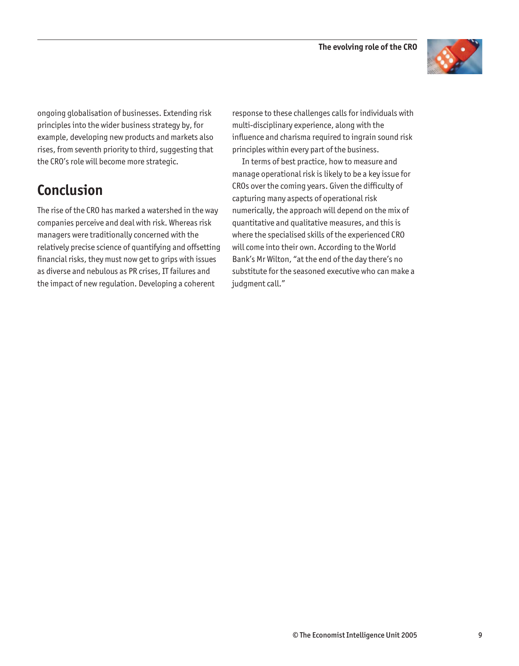

ongoing globalisation of businesses. Extending risk principles into the wider business strategy by, for example, developing new products and markets also rises, from seventh priority to third, suggesting that the CRO's role will become more strategic.

# **Conclusion**

The rise of the CRO has marked a watershed in the way companies perceive and deal with risk. Whereas risk managers were traditionally concerned with the relatively precise science of quantifying and offsetting financial risks, they must now get to grips with issues as diverse and nebulous as PR crises, IT failures and the impact of new regulation. Developing a coherent

response to these challenges calls for individuals with multi-disciplinary experience, along with the influence and charisma required to ingrain sound risk principles within every part of the business.

In terms of best practice, how to measure and manage operational risk is likely to be a key issue for CROs over the coming years. Given the difficulty of capturing many aspects of operational risk numerically, the approach will depend on the mix of quantitative and qualitative measures, and this is where the specialised skills of the experienced CRO will come into their own. According to the World Bank's Mr Wilton, "at the end of the day there's no substitute for the seasoned executive who can make a judgment call."